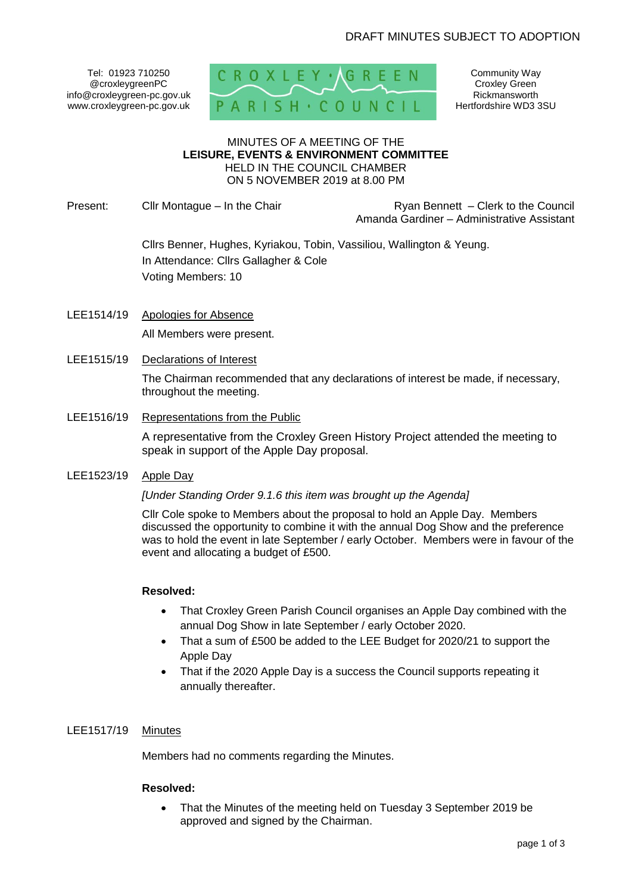Tel: 01923 710250 @croxleygreenPC info@croxleygreen-pc.gov.uk www.croxleygreen-pc.gov.uk



Community Way Croxley Green Rickmansworth Hertfordshire WD3 3SU

### MINUTES OF A MEETING OF THE **LEISURE, EVENTS & ENVIRONMENT COMMITTEE** HELD IN THE COUNCIL CHAMBER ON 5 NOVEMBER 2019 at 8.00 PM

Present: Clir Montague – In the Chair **Reserve and Ryan Bennett – Clerk to the Council** Amanda Gardiner – Administrative Assistant

> Cllrs Benner, Hughes, Kyriakou, Tobin, Vassiliou, Wallington & Yeung. In Attendance: Cllrs Gallagher & Cole Voting Members: 10

- LEE1514/19 Apologies for Absence All Members were present.
- LEE1515/19 Declarations of Interest

The Chairman recommended that any declarations of interest be made, if necessary, throughout the meeting.

LEE1516/19 Representations from the Public

A representative from the Croxley Green History Project attended the meeting to speak in support of the Apple Day proposal.

LEE1523/19 Apple Day

*[Under Standing Order 9.1.6 this item was brought up the Agenda]*

Cllr Cole spoke to Members about the proposal to hold an Apple Day. Members discussed the opportunity to combine it with the annual Dog Show and the preference was to hold the event in late September / early October. Members were in favour of the event and allocating a budget of £500.

## **Resolved:**

- That Croxley Green Parish Council organises an Apple Day combined with the annual Dog Show in late September / early October 2020.
- That a sum of £500 be added to the LEE Budget for 2020/21 to support the Apple Day
- That if the 2020 Apple Day is a success the Council supports repeating it annually thereafter.

# LEE1517/19 Minutes

Members had no comments regarding the Minutes.

### **Resolved:**

• That the Minutes of the meeting held on Tuesday 3 September 2019 be approved and signed by the Chairman.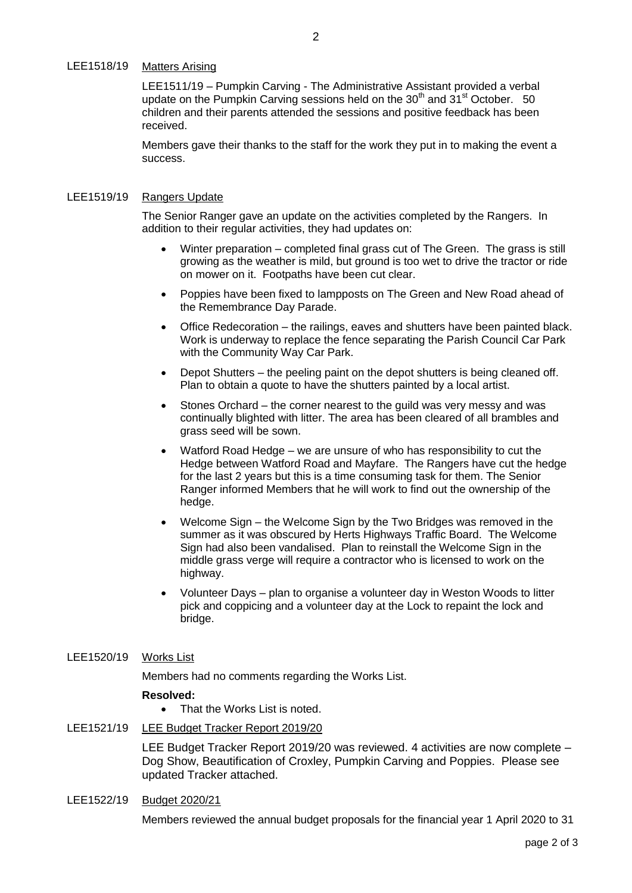LEE1511/19 - Pumpkin Carving - The Administrative Assistant provided a verbal update on the Pumpkin Carving sessions held on the  $30<sup>th</sup>$  and  $31<sup>st</sup>$  October. 50 children and their parents attended the sessions and positive feedback has been received.

Members gave their thanks to the staff for the work they put in to making the event a success.

### LEE1519/19 Rangers Update

The Senior Ranger gave an update on the activities completed by the Rangers. In addition to their regular activities, they had updates on:

- Winter preparation completed final grass cut of The Green. The grass is still growing as the weather is mild, but ground is too wet to drive the tractor or ride on mower on it. Footpaths have been cut clear.
- Poppies have been fixed to lampposts on The Green and New Road ahead of the Remembrance Day Parade.
- Office Redecoration the railings, eaves and shutters have been painted black. Work is underway to replace the fence separating the Parish Council Car Park with the Community Way Car Park.
- Depot Shutters the peeling paint on the depot shutters is being cleaned off. Plan to obtain a quote to have the shutters painted by a local artist.
- Stones Orchard the corner nearest to the guild was very messy and was continually blighted with litter. The area has been cleared of all brambles and grass seed will be sown.
- Watford Road Hedge we are unsure of who has responsibility to cut the Hedge between Watford Road and Mayfare. The Rangers have cut the hedge for the last 2 years but this is a time consuming task for them. The Senior Ranger informed Members that he will work to find out the ownership of the hedge.
- Welcome Sign the Welcome Sign by the Two Bridges was removed in the summer as it was obscured by Herts Highways Traffic Board. The Welcome Sign had also been vandalised. Plan to reinstall the Welcome Sign in the middle grass verge will require a contractor who is licensed to work on the highway.
- Volunteer Days plan to organise a volunteer day in Weston Woods to litter pick and coppicing and a volunteer day at the Lock to repaint the lock and bridge.

## LEE1520/19 Works List

Members had no comments regarding the Works List.

### **Resolved:**

- That the Works List is noted.
- LEE1521/19 LEE Budget Tracker Report 2019/20

LEE Budget Tracker Report 2019/20 was reviewed. 4 activities are now complete – Dog Show, Beautification of Croxley, Pumpkin Carving and Poppies. Please see updated Tracker attached.

LEE1522/19 Budget 2020/21

Members reviewed the annual budget proposals for the financial year 1 April 2020 to 31